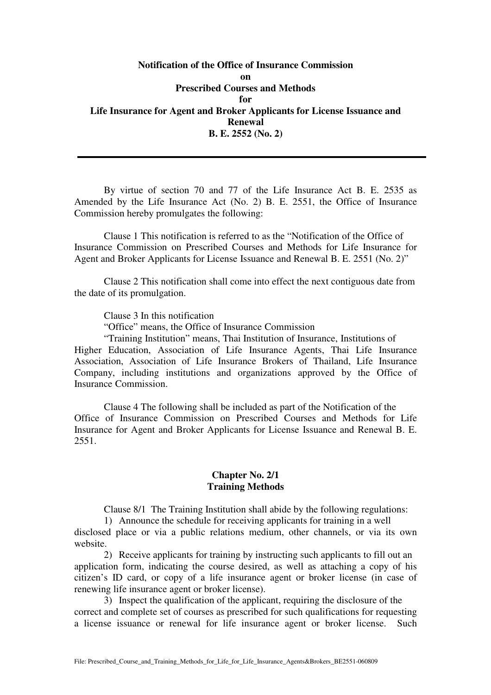**Notification of the Office of Insurance Commission on Prescribed Courses and Methods for Life Insurance for Agent and Broker Applicants for License Issuance and Renewal B. E. 2552 (No. 2)** 

 By virtue of section 70 and 77 of the Life Insurance Act B. E. 2535 as Amended by the Life Insurance Act (No. 2) B. E. 2551, the Office of Insurance Commission hereby promulgates the following:

Clause 1 This notification is referred to as the "Notification of the Office of Insurance Commission on Prescribed Courses and Methods for Life Insurance for Agent and Broker Applicants for License Issuance and Renewal B. E. 2551 (No. 2)"

Clause 2 This notification shall come into effect the next contiguous date from the date of its promulgation.

Clause 3 In this notification

"Office" means, the Office of Insurance Commission

"Training Institution" means, Thai Institution of Insurance, Institutions of Higher Education, Association of Life Insurance Agents, Thai Life Insurance Association, Association of Life Insurance Brokers of Thailand, Life Insurance Company, including institutions and organizations approved by the Office of Insurance Commission.

Clause 4 The following shall be included as part of the Notification of the Office of Insurance Commission on Prescribed Courses and Methods for Life Insurance for Agent and Broker Applicants for License Issuance and Renewal B. E. 2551.

## **Chapter No. 2/1 Training Methods**

Clause 8/1 The Training Institution shall abide by the following regulations:

1) Announce the schedule for receiving applicants for training in a well disclosed place or via a public relations medium, other channels, or via its own website.

2) Receive applicants for training by instructing such applicants to fill out an application form, indicating the course desired, as well as attaching a copy of his citizen's ID card, or copy of a life insurance agent or broker license (in case of renewing life insurance agent or broker license).

3) Inspect the qualification of the applicant, requiring the disclosure of the correct and complete set of courses as prescribed for such qualifications for requesting a license issuance or renewal for life insurance agent or broker license. Such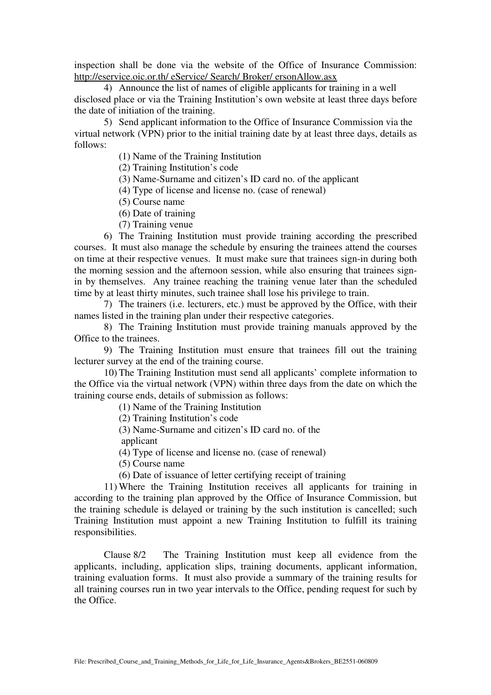inspection shall be done via the website of the Office of Insurance Commission: http://eservice.oic.or.th/ eService/ Search/ Broker/ ersonAllow.asx

4) Announce the list of names of eligible applicants for training in a well disclosed place or via the Training Institution's own website at least three days before the date of initiation of the training.

5) Send applicant information to the Office of Insurance Commission via the virtual network (VPN) prior to the initial training date by at least three days, details as follows:

(1) Name of the Training Institution

(2) Training Institution's code

(3) Name-Surname and citizen's ID card no. of the applicant

(4) Type of license and license no. (case of renewal)

(5) Course name

- (6) Date of training
- (7) Training venue

 6) The Training Institution must provide training according the prescribed courses. It must also manage the schedule by ensuring the trainees attend the courses on time at their respective venues. It must make sure that trainees sign-in during both the morning session and the afternoon session, while also ensuring that trainees signin by themselves. Any trainee reaching the training venue later than the scheduled time by at least thirty minutes, such trainee shall lose his privilege to train.

 7) The trainers (i.e. lecturers, etc.) must be approved by the Office, with their names listed in the training plan under their respective categories.

 8) The Training Institution must provide training manuals approved by the Office to the trainees.

 9) The Training Institution must ensure that trainees fill out the training lecturer survey at the end of the training course.

 10) The Training Institution must send all applicants' complete information to the Office via the virtual network (VPN) within three days from the date on which the training course ends, details of submission as follows:

(1) Name of the Training Institution

(2) Training Institution's code

(3) Name-Surname and citizen's ID card no. of the

applicant

(4) Type of license and license no. (case of renewal)

(5) Course name

(6) Date of issuance of letter certifying receipt of training

 11) Where the Training Institution receives all applicants for training in according to the training plan approved by the Office of Insurance Commission, but the training schedule is delayed or training by the such institution is cancelled; such Training Institution must appoint a new Training Institution to fulfill its training responsibilities.

 Clause 8/2 The Training Institution must keep all evidence from the applicants, including, application slips, training documents, applicant information, training evaluation forms. It must also provide a summary of the training results for all training courses run in two year intervals to the Office, pending request for such by the Office.